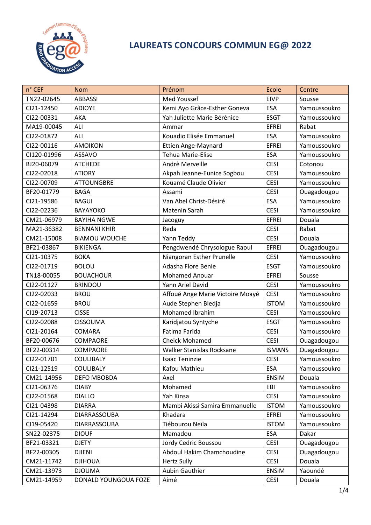

## **LAUREATS CONCOURS COMMUN EG@ 2022**

| n° CEF      | <b>Nom</b>           | Prénom                           | Ecole         | Centre       |
|-------------|----------------------|----------------------------------|---------------|--------------|
| TN22-02645  | <b>ABBASSI</b>       | Med Youssef                      | <b>EIVP</b>   | Sousse       |
| CI21-12450  | <b>ADIOYE</b>        | Kemi Ayo Grâce-Esther Goneva     | <b>ESA</b>    | Yamoussoukro |
| CI22-00331  | AKA                  | Yah Juliette Marie Bérénice      | <b>ESGT</b>   | Yamoussoukro |
| MA19-00045  | ALI                  | Ammar                            | <b>EFREI</b>  | Rabat        |
| CI22-01872  | ALI                  | Kouadio Elisée Emmanuel          | <b>ESA</b>    | Yamoussoukro |
| CI22-00116  | <b>AMOIKON</b>       | Ettien Ange-Maynard              | <b>EFREI</b>  | Yamoussoukro |
| CI120-01996 | <b>ASSAVO</b>        | <b>Tehua Marie-Elise</b>         | <b>ESA</b>    | Yamoussoukro |
| BJ20-06079  | <b>ATCHEDE</b>       | Andrè Merveille                  | <b>CESI</b>   | Cotonou      |
| CI22-02018  | <b>ATIORY</b>        | Akpah Jeanne-Eunice Sogbou       | <b>CESI</b>   | Yamoussoukro |
| CI22-00709  | <b>ATTOUNGBRE</b>    | Kouamé Claude Olivier            | <b>CESI</b>   | Yamoussoukro |
| BF20-01779  | <b>BAGA</b>          | Assami                           | <b>CESI</b>   | Ouagadougou  |
| CI21-19586  | <b>BAGUI</b>         | Van Abel Christ-Désiré           | <b>ESA</b>    | Yamoussoukro |
| CI22-02236  | <b>BAYAYOKO</b>      | Matenin Sarah                    | <b>CESI</b>   | Yamoussoukro |
| CM21-06979  | <b>BAYIHA NGWE</b>   | Jacoguy                          | <b>EFREI</b>  | Douala       |
| MA21-36382  | <b>BENNANI KHIR</b>  | Reda                             | <b>CESI</b>   | Rabat        |
| CM21-15008  | <b>BIAMOU WOUCHE</b> | Yann Teddy                       | <b>CESI</b>   | Douala       |
| BF21-03867  | <b>BIKIENGA</b>      | Pengdwendé Chrysologue Raoul     | <b>EFREI</b>  | Ouagadougou  |
| CI21-10375  | <b>BOKA</b>          | Niangoran Esther Prunelle        | <b>CESI</b>   | Yamoussoukro |
| CI22-01719  | <b>BOLOU</b>         | Adasha Flore Benie               | <b>ESGT</b>   | Yamoussoukro |
| TN18-00055  | <b>BOUACHOUR</b>     | <b>Mohamed Anouar</b>            | <b>EFREI</b>  | Sousse       |
| CI22-01127  | <b>BRINDOU</b>       | Yann Ariel David                 | <b>CESI</b>   | Yamoussoukro |
| CI22-02033  | <b>BROU</b>          | Affoué Ange Marie Victoire Moayé | <b>CESI</b>   | Yamoussoukro |
| CI22-01659  | <b>BROU</b>          | Aude Stephen Bledja              | <b>ISTOM</b>  | Yamoussoukro |
| CI19-20713  | <b>CISSE</b>         | Mohamed Ibrahim                  | <b>CESI</b>   | Yamoussoukro |
| CI22-02088  | <b>CISSOUMA</b>      | Karidjatou Syntyche              | <b>ESGT</b>   | Yamoussoukro |
| CI21-20164  | COMARA               | Fatima Farida                    | <b>CESI</b>   | Yamoussoukro |
| BF20-00676  | COMPAORE             | <b>Cheick Mohamed</b>            | <b>CESI</b>   | Ouagadougou  |
| BF22-00314  | COMPAORE             | Walker Stanislas Rocksane        | <b>ISMANS</b> | Ouagadougou  |
| CI22-01701  | <b>COULIBALY</b>     | <b>Isaac Teninzie</b>            | <b>CESI</b>   | Yamoussoukro |
| CI21-12519  | <b>COULIBALY</b>     | Kafou Mathieu                    | <b>ESA</b>    | Yamoussoukro |
| CM21-14956  | <b>DEFO MBOBDA</b>   | Axel                             | <b>ENSIM</b>  | Douala       |
| CI21-06376  | <b>DIABY</b>         | Mohamed                          | EBI           | Yamoussoukro |
| CI22-01568  | <b>DIALLO</b>        | Yah Kinsa                        | <b>CESI</b>   | Yamoussoukro |
| CI21-04398  | <b>DIARRA</b>        | Mambi Akissi Samira Emmanuelle   | <b>ISTOM</b>  | Yamoussoukro |
| CI21-14294  | DIARRASSOUBA         | Khadara                          | EFREI         | Yamoussoukro |
| CI19-05420  | <b>DIARRASSOUBA</b>  | Tiébourou Neïla                  | <b>ISTOM</b>  | Yamoussoukro |
| SN22-02375  | <b>DIOUF</b>         | Mamadou                          | <b>ESA</b>    | Dakar        |
| BF21-03321  | <b>DJETY</b>         | Jordy Cedric Boussou             | <b>CESI</b>   | Ouagadougou  |
| BF22-00305  | <b>DJIENI</b>        | Abdoul Hakim Chamchoudine        | <b>CESI</b>   | Ouagadougou  |
| CM21-11742  | <b>DJIHOUA</b>       | <b>Hertz Sully</b>               | <b>CESI</b>   | Douala       |
| CM21-13973  | <b>DJOUMA</b>        | <b>Aubin Gauthier</b>            | <b>ENSIM</b>  | Yaoundé      |
| CM21-14959  | DONALD YOUNGOUA FOZE | Aimé                             | <b>CESI</b>   | Douala       |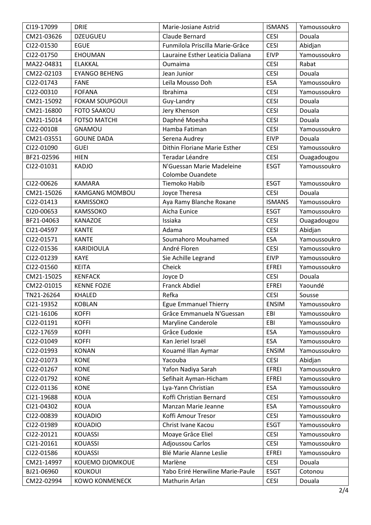| CI19-17099 | <b>DRIE</b>           | Marie-Josiane Astrid             | <b>ISMANS</b> | Yamoussoukro |
|------------|-----------------------|----------------------------------|---------------|--------------|
| CM21-03626 | <b>DZEUGUEU</b>       | Claude Bernard                   | <b>CESI</b>   | Douala       |
| CI22-01530 | <b>EGUE</b>           | Funmilola Priscilla Marie-Grâce  | <b>CESI</b>   | Abidjan      |
| CI22-01750 | <b>EHOUMAN</b>        | Lauraine Esther Leaticia Daliana | <b>EIVP</b>   | Yamoussoukro |
| MA22-04831 | <b>ELAKKAL</b>        | Oumaima                          | <b>CESI</b>   | Rabat        |
| CM22-02103 | <b>EYANGO BEHENG</b>  | Jean Junior                      | <b>CESI</b>   | Douala       |
| CI22-01743 | <b>FANE</b>           | Leïla Mousso Doh                 | ESA           | Yamoussoukro |
| CI22-00310 | <b>FOFANA</b>         | Ibrahima                         | <b>CESI</b>   | Yamoussoukro |
| CM21-15092 | <b>FOKAM SOUPGOUI</b> | Guy-Landry                       | <b>CESI</b>   | Douala       |
| CM21-16800 | <b>FOTO SAAKOU</b>    | Jery Khenson                     | <b>CESI</b>   | Douala       |
| CM21-15014 | <b>FOTSO MATCHI</b>   | Daphné Moesha                    | <b>CESI</b>   | Douala       |
| CI22-00108 | <b>GNAMOU</b>         | Hamba Fatiman                    | <b>CESI</b>   | Yamoussoukro |
| CM21-03551 | <b>GOUNE DADA</b>     | Serena Audrey                    | <b>EIVP</b>   | Douala       |
| CI22-01090 | <b>GUEI</b>           | Dithin Floriane Marie Esther     | <b>CESI</b>   | Yamoussoukro |
| BF21-02596 | <b>HIEN</b>           | Teradar Léandre                  | <b>CESI</b>   | Ouagadougou  |
| CI22-01031 | <b>KADJO</b>          | N'Guessan Marie Madeleine        | <b>ESGT</b>   | Yamoussoukro |
|            |                       | <b>Colombe Ouandete</b>          |               |              |
| CI22-00626 | <b>KAMARA</b>         | Tiemoko Habib                    | <b>ESGT</b>   | Yamoussoukro |
| CM21-15026 | <b>KAMGANG MOMBOU</b> | Joyce Theresa                    | <b>CESI</b>   | Douala       |
| Ci22-01413 | KAMISSOKO             | Aya Ramy Blanche Roxane          | <b>ISMANS</b> | Yamoussoukro |
| CI20-00653 | KAMSSOKO              | Aicha Eunice                     | <b>ESGT</b>   | Yamoussoukro |
| BF21-04063 | <b>KANAZOE</b>        | Issiaka                          | <b>CESI</b>   | Ouagadougou  |
| CI21-04597 | <b>KANTE</b>          | Adama                            | <b>CESI</b>   | Abidjan      |
| CI22-01571 | <b>KANTE</b>          | Soumahoro Mouhamed               | ESA           | Yamoussoukro |
| CI22-01536 | KARIDIOULA            | André Floren                     | <b>CESI</b>   | Yamoussoukro |
| CI22-01239 | <b>KAYE</b>           | Sie Achille Legrand              | <b>EIVP</b>   | Yamoussoukro |
| CI22-01560 | <b>KEITA</b>          | Cheick                           | <b>EFREI</b>  | Yamoussoukro |
| CM21-15025 | <b>KENFACK</b>        | Joyce D                          | <b>CESI</b>   | Douala       |
| CM22-01015 | <b>KENNE FOZIE</b>    | <b>Franck Abdiel</b>             | <b>EFREI</b>  | Yaoundé      |
| TN21-26264 | <b>KHALED</b>         | Refka                            | <b>CESI</b>   | Sousse       |
| CI21-19352 | <b>KOBLAN</b>         | <b>Egue Emmanuel Thierry</b>     | <b>ENSIM</b>  | Yamoussoukro |
| CI21-16106 | <b>KOFFI</b>          | Grâce Emmanuela N'Guessan        | EBI           | Yamoussoukro |
| CI22-01191 | <b>KOFFI</b>          | <b>Maryline Canderole</b>        | EBI           | Yamoussoukro |
| CI22-17659 | <b>KOFFI</b>          | Grâce Eudoxie                    | ESA           | Yamoussoukro |
| CI22-01049 | <b>KOFFI</b>          | Kan Jeriel Israël                | <b>ESA</b>    | Yamoussoukro |
| CI22-01993 | <b>KONAN</b>          | Kouamé Illan Aymar               | <b>ENSIM</b>  | Yamoussoukro |
| CI22-01073 | <b>KONE</b>           | Yacouba                          | <b>CESI</b>   | Abidjan      |
| CI22-01267 | <b>KONE</b>           | Yafon Nadiya Sarah               | <b>EFREI</b>  | Yamoussoukro |
| CI22-01792 | <b>KONE</b>           | Sefihait Ayman-Hicham            | <b>EFREI</b>  | Yamoussoukro |
| CI22-01136 | <b>KONE</b>           | Lya-Yann Christian               | ESA           | Yamoussoukro |
| CI21-19688 | <b>KOUA</b>           | Koffi Christian Bernard          | <b>CESI</b>   | Yamoussoukro |
| CI21-04302 | <b>KOUA</b>           | Manzan Marie Jeanne              | <b>ESA</b>    | Yamoussoukro |
| CI22-00839 | <b>KOUADIO</b>        | Koffi Amour Tresor               | <b>CESI</b>   | Yamoussoukro |
| CI22-01989 | <b>KOUADIO</b>        | Christ Ivane Kacou               | <b>ESGT</b>   | Yamoussoukro |
| CI22-20121 | <b>KOUASSI</b>        | Moaye Grâce Eliel                | <b>CESI</b>   | Yamoussoukro |
| CI21-20161 | <b>KOUASSI</b>        | Adjoussou Carlos                 | <b>CESI</b>   | Yamoussoukro |
| CI22-01586 | <b>KOUASSI</b>        | Blé Marie Alanne Leslie          | <b>EFREI</b>  | Yamoussoukro |
| CM21-14997 | KOUEMO DJOMKOUE       | Marlène                          | <b>CESI</b>   | Douala       |
| BJ21-06960 | <b>KOUKOUI</b>        | Yabo Eriré Herwiline Marie-Paule | <b>ESGT</b>   | Cotonou      |
| CM22-02994 | <b>KOWO KONMENECK</b> | Mathurin Arlan                   | <b>CESI</b>   | Douala       |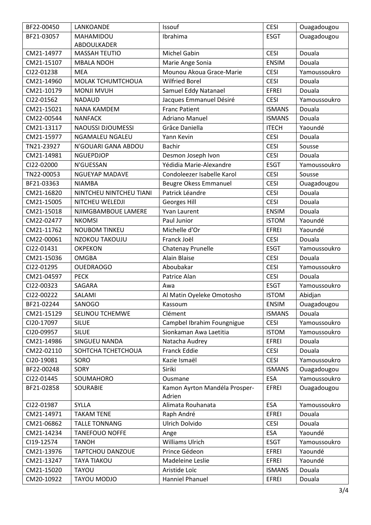| BF22-00450 | LANKOANDE                | Issouf                        | <b>CESI</b>   | Ouagadougou  |
|------------|--------------------------|-------------------------------|---------------|--------------|
| BF21-03057 | MAHAMIDOU                | Ibrahima                      | <b>ESGT</b>   | Ouagadougou  |
|            | ABDOULKADER              |                               |               |              |
| CM21-14977 | MASSAH TEUTIO            | <b>Michel Gabin</b>           | <b>CESI</b>   | Douala       |
| CM21-15107 | <b>MBALA NDOH</b>        | Marie Ange Sonia              | <b>ENSIM</b>  | Douala       |
| CI22-01238 | <b>MEA</b>               | Mounou Akoua Grace-Marie      | <b>CESI</b>   | Yamoussoukro |
| CM21-14960 | MOLAK TCHUMTCHOUA        | <b>Wilfried Borel</b>         | <b>CESI</b>   | Douala       |
| CM21-10179 | <b>MONJI MVUH</b>        | Samuel Eddy Natanael          | <b>EFREI</b>  | Douala       |
| CI22-01562 | <b>NADAUD</b>            | Jacques Emmanuel Désiré       | <b>CESI</b>   | Yamoussoukro |
| CM21-15021 | NANA KAMDEM              | <b>Franc Patient</b>          | <b>ISMANS</b> | Douala       |
| CM22-00544 | <b>NANFACK</b>           | <b>Adriano Manuel</b>         | <b>ISMANS</b> | Douala       |
| CM21-13117 | <b>NAOUSSI DJOUMESSI</b> | Grâce Daniella                | <b>ITECH</b>  | Yaoundé      |
| CM21-15977 | NGAMALEU NGALEU          | Yann Kevin                    | <b>CESI</b>   | Douala       |
| TN21-23927 | N'GOUARI GANA ABDOU      | <b>Bachir</b>                 | <b>CESI</b>   | Sousse       |
| CM21-14981 | NGUEPDJOP                | Desmon Joseph Ivon            | <b>CESI</b>   | Douala       |
| CI22-02000 | N'GUESSAN                | Yédidia Marie-Alexandre       | <b>ESGT</b>   | Yamoussoukro |
| TN22-00053 | <b>NGUEYAP MADAVE</b>    | Condoleezer Isabelle Karol    | <b>CESI</b>   | Sousse       |
| BF21-03363 | <b>NIAMBA</b>            | Beugre Okess Emmanuel         | <b>CESI</b>   | Ouagadougou  |
| CM21-16820 | NINTCHEU NINTCHEU TIANI  | Patrick Léandre               | <b>CESI</b>   | Douala       |
| CM21-15005 | NITCHEU WELEDJI          | Georges Hill                  | <b>CESI</b>   | Douala       |
| CM21-15018 | NJIMGBAMBOUE LAMERE      | Yvan Laurent                  | <b>ENSIM</b>  | Douala       |
| CM22-02477 | <b>NKOMSI</b>            | Paul Junior                   | <b>ISTOM</b>  | Yaoundé      |
| CM21-11762 | <b>NOUBOM TINKEU</b>     | Michelle d'Or                 | <b>EFREI</b>  | Yaoundé      |
| CM22-00061 | NZOKOU TAKOUJU           | Franck Joël                   | <b>CESI</b>   | Douala       |
| CI22-01431 | <b>OKPEKON</b>           | Chatenay Prunelle             | <b>ESGT</b>   | Yamoussoukro |
| CM21-15036 | <b>OMGBA</b>             | Alain Blaise                  | <b>CESI</b>   | Douala       |
| CI22-01295 | <b>OUEDRAOGO</b>         | Aboubakar                     | <b>CESI</b>   | Yamoussoukro |
| CM21-04597 | <b>PECK</b>              | Patrice Alan                  | <b>CESI</b>   | Douala       |
| CI22-00323 | SAGARA                   | Awa                           | <b>ESGT</b>   | Yamoussoukro |
| CI22-00222 | SALAMI                   | Al Matin Oyeleke Omotosho     | <b>ISTOM</b>  | Abidjan      |
| BF21-02244 | SANOGO                   | Kassoum                       | <b>ENSIM</b>  | Ouagadougou  |
| CM21-15129 | SELINOU TCHEMWE          | Clément                       | <b>ISMANS</b> | Douala       |
| CI20-17097 | <b>SILUE</b>             | Campbel Ibrahim Foungnigue    | <b>CESI</b>   | Yamoussoukro |
| CI20-09957 | <b>SILUE</b>             | Sionkaman Awa Laetitia        | <b>ISTOM</b>  | Yamoussoukro |
| CM21-14986 | SINGUEU NANDA            | Natacha Audrey                | <b>EFREI</b>  | Douala       |
| CM22-02110 | SOHTCHA TCHETCHOUA       | <b>Franck Eddie</b>           | <b>CESI</b>   | Douala       |
| CI20-19081 | SORO                     | Kazie Ismaël                  | <b>CESI</b>   | Yamoussoukro |
| BF22-00248 | SORY                     | Siriki                        | <b>ISMANS</b> | Ouagadougou  |
| CI22-01445 | SOUMAHORO                | Ousmane                       | ESA           | Yamoussoukro |
| BF21-02858 | SOURABIE                 | Kamon Ayrton Mandéla Prosper- | <b>EFREI</b>  | Ouagadougou  |
|            |                          | Adrien                        |               |              |
| CI22-01987 | SYLLA                    | Alimata Rouhanata             | ESA           | Yamoussoukro |
| CM21-14971 | <b>TAKAM TENE</b>        | Raph André                    | <b>EFREI</b>  | Douala       |
| CM21-06862 | <b>TALLE TONNANG</b>     | Ulrich Dolvido                | <b>CESI</b>   | Douala       |
| CM21-14234 | <b>TANEFOUO NOFFE</b>    | Ange                          | <b>ESA</b>    | Yaoundé      |
| CI19-12574 | <b>TANOH</b>             | Williams Ulrich               | <b>ESGT</b>   | Yamoussoukro |
| CM21-13976 | <b>TAPTCHOU DANZOUE</b>  | Prince Gédeon                 | EFREI         | Yaoundé      |
| CM21-13247 | <b>TAYA TIAKOU</b>       | Madeleine Leslie              | <b>EFREI</b>  | Yaoundé      |
| CM21-15020 | <b>TAYOU</b>             | Aristide Loïc                 | <b>ISMANS</b> | Douala       |
| CM20-10922 | <b>TAYOU MODJO</b>       | Hanniel Phanuel               | <b>EFREI</b>  | Douala       |